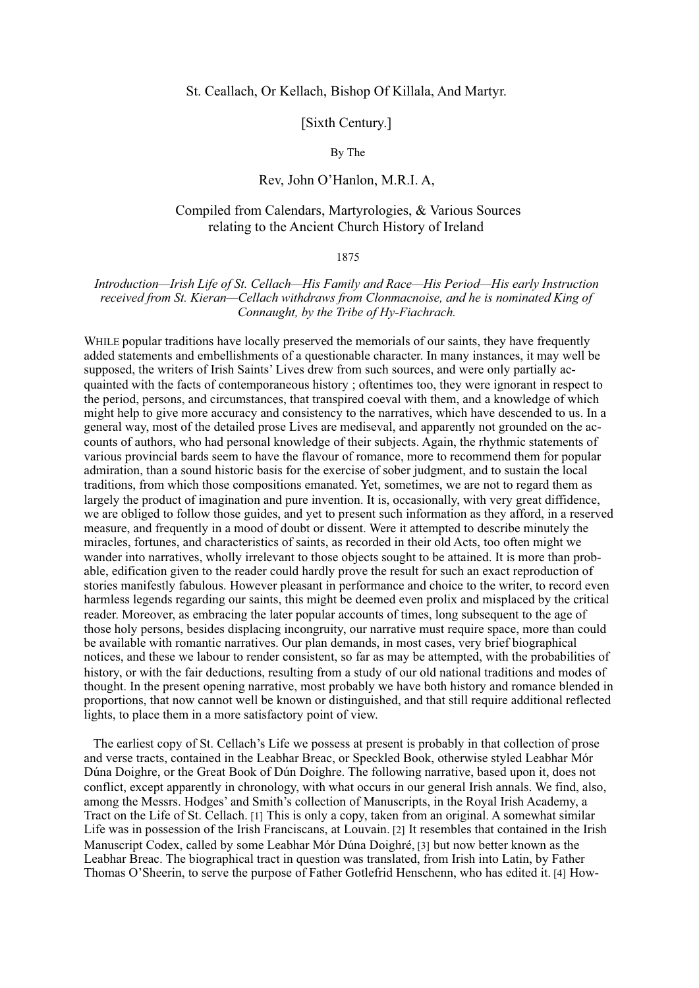### St. Ceallach, Or Kellach, Bishop Of Killala, And Martyr.

# [Sixth Century.]

By The

# Rev. John O'Hanlon, M.R.I. A.

# Compiled from Calendars, Martyrologies, & Various Sources relating to the Ancient Church History of Ireland

#### 1875

Introduction—Irish Life of St. Cellach—His Family and Race—His Period—His early Instruction received from St. Kieran—Cellach withdraws from Clonmacnoise, and he is nominated King of Connaught, by the Tribe of Hy-Fiachrach.

WHILE popular traditions have locally preserved the memorials of our saints, they have frequently added statements and embellishments of a questionable character. In many instances, it may well be supposed, the writers of Irish Saints' Lives drew from such sources, and were only partially acquainted with the facts of contemporaneous history ; oftentimes too, they were ignorant in respect to the period, persons, and circumstances, that transpired coeval with them, and a knowledge of which might help to give more accuracy and consistency to the narratives, which have descended to us. In a general way, most of the detailed prose Lives are mediseval, and apparently not grounded on the accounts of authors, who had personal knowledge of their subjects. Again, the rhythmic statements of various provincial bards seem to have the flavour of romance, more to recommend them for popular admiration, than a sound historic basis for the exercise of sober judgment, and to sustain the local traditions, from which those compositions emanated. Yet, sometimes, we are not to regard them as largely the product of imagination and pure invention. It is, occasionally, with very great diffidence, we are obliged to follow those guides, and yet to present such information as they afford, in a reserved measure, and frequently in a mood of doubt or dissent. Were it attempted to describe minutely the miracles, fortunes, and characteristics of saints, as recorded in their old Acts, too often might we wander into narratives, wholly irrelevant to those objects sought to be attained. It is more than probable, edification given to the reader could hardly prove the result for such an exact reproduction of stories manifestly fabulous. However pleasant in performance and choice to the writer, to record even harmless legends regarding our saints, this might be deemed even prolix and misplaced by the critical reader. Moreover, as embracing the later popular accounts of times, long subsequent to the age of those holy persons, besides displacing incongruity, our narrative must require space, more than could be available with romantic narratives. Our plan demands, in most cases, very brief biographical notices, and these we labour to render consistent, so far as may be attempted, with the probabilities of history, or with the fair deductions, resulting from a study of our old national traditions and modes of thought. In the present opening narrative, most probably we have both history and romance blended in proportions, that now cannot well be known or distinguished, and that still require additional reflected lights, to place them in a more satisfactory point of view.

The earliest copy of St. Cellach's Life we possess at present is probably in that collection of prose and verse tracts, contained in the Leabhar Breac, or Speckled Book, otherwise styled Leabhar Mór Dúna Doighre, or the Great Book of Dún Doighre. The following narrative, based upon it, does not conflict, except apparently in chronology, with what occurs in our general Irish annals. We find, also, among the Messrs. Hodges' and Smith's collection of Manuscripts, in the Royal Irish Academy, a Tract on the Life of St. Cellach. [1] This is only a copy, taken from an original. A somewhat similar Life was in possession of the Irish Franciscans, at Louvain. [2] It resembles that contained in the Irish Manuscript Codex, called by some Leabhar Mór Dúna Doighré, [3] but now better known as the Leabhar Breac. The biographical tract in question was translated, from Irish into Latin, by Father Thomas O'Sheerin, to serve the purpose of Father Gotlefrid Henschenn, who has edited it. [4] How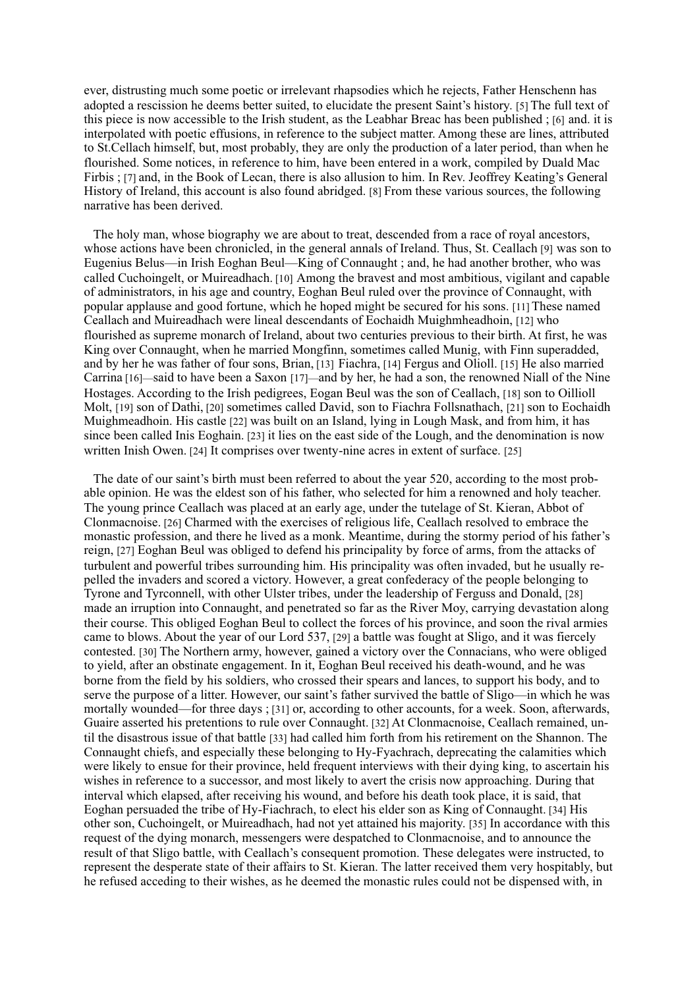ever, distrusting much some poetic or irrelevant rhapsodies which he rejects, Father Henschenn has adopted a rescission he deems better suited, to elucidate the present Saint's history. [5] The full text of this piece is now accessible to the Irish student, as the Leabhar Breac has been published; [6] and. it is interpolated with poetic effusions, in reference to the subject matter. Among these are lines, attributed to St. Cellach himself, but, most probably, they are only the production of a later period, than when he flourished. Some notices, in reference to him, have been entered in a work, compiled by Duald Mac Firbis : [7] and, in the Book of Lecan, there is also allusion to him. In Rev. Jeoffrey Keating's General History of Ireland, this account is also found abridged. [8] From these various sources, the following narrative has been derived.

The holy man, whose biography we are about to treat, descended from a race of roval ancestors. whose actions have been chronicled, in the general annals of Ireland. Thus, St. Ceallach [9] was son to Eugenius Belus—in Irish Eoghan Beul—King of Connaught; and, he had another brother, who was called Cuchoingelt, or Muireadhach. [10] Among the bravest and most ambitious, vigilant and capable of administrators, in his age and country, Eoghan Beul ruled over the province of Connaught, with popular applause and good fortune, which he hoped might be secured for his sons. [11] These named Ceallach and Muireadhach were lineal descendants of Eochaidh Muighmheadhoin, [12] who flourished as supreme monarch of Ireland, about two centuries previous to their birth. At first, he was King over Connaught, when he married Mongfinn, sometimes called Munig, with Finn superadded, and by her he was father of four sons, Brian, [13] Fiachra, [14] Fergus and Olioll. [15] He also married Carrina [16]—said to have been a Saxon [17]—and by her, he had a son, the renowned Niall of the Nine Hostages. According to the Irish pedigrees, Eogan Beul was the son of Ceallach, [18] son to Oillioll Molt, [19] son of Dathi, [20] sometimes called David, son to Fiachra Follsnathach, [21] son to Eochaidh Muighmeadhoin. His castle [22] was built on an Island, lying in Lough Mask, and from him, it has since been called Inis Eoghain. [23] it lies on the east side of the Lough, and the denomination is now written Inish Owen. [24] It comprises over twenty-nine acres in extent of surface. [25]

The date of our saint's birth must been referred to about the year 520, according to the most probable opinion. He was the eldest son of his father, who selected for him a renowned and holy teacher. The young prince Ceallach was placed at an early age, under the tutelage of St. Kieran, Abbot of Clonmacnoise. [26] Charmed with the exercises of religious life, Ceallach resolved to embrace the monastic profession, and there he lived as a monk. Meantime, during the stormy period of his father's reign, [27] Eoghan Beul was obliged to defend his principality by force of arms, from the attacks of turbulent and powerful tribes surrounding him. His principality was often invaded, but he usually repelled the invaders and scored a victory. However, a great confederacy of the people belonging to Tyrone and Tyrconnell, with other Ulster tribes, under the leadership of Ferguss and Donald, [28] made an irruption into Connaught, and penetrated so far as the River Moy, carrying devastation along their course. This obliged Eoghan Beul to collect the forces of his province, and soon the rival armies came to blows. About the year of our Lord 537, [29] a battle was fought at Sligo, and it was fiercely contested. [30] The Northern army, however, gained a victory over the Connacians, who were obliged to yield, after an obstinate engagement. In it, Eoghan Beul received his death-wound, and he was borne from the field by his soldiers, who crossed their spears and lances, to support his body, and to serve the purpose of a litter. However, our saint's father survived the battle of Sligo—in which he was mortally wounded—for three days : [31] or, according to other accounts, for a week. Soon, afterwards, Guaire asserted his pretentions to rule over Connaught. [32] At Clonmacnoise, Ceallach remained, until the disastrous issue of that battle [33] had called him forth from his retirement on the Shannon. The Connaught chiefs, and especially these belonging to Hy-Fyachrach, deprecating the calamities which were likely to ensue for their province, held frequent interviews with their dying king, to ascertain his wishes in reference to a successor, and most likely to avert the crisis now approaching. During that interval which elapsed, after receiving his wound, and before his death took place, it is said, that Eoghan persuaded the tribe of Hy-Fiachrach, to elect his elder son as King of Connaught. [34] His other son, Cuchoingelt, or Muireadhach, had not yet attained his majority. [35] In accordance with this request of the dying monarch, messengers were despatched to Clonmacnoise, and to announce the result of that Sligo battle, with Ceallach's consequent promotion. These delegates were instructed, to represent the desperate state of their affairs to St. Kieran. The latter received them very hospitably, but he refused acceding to their wishes, as he deemed the monastic rules could not be dispensed with, in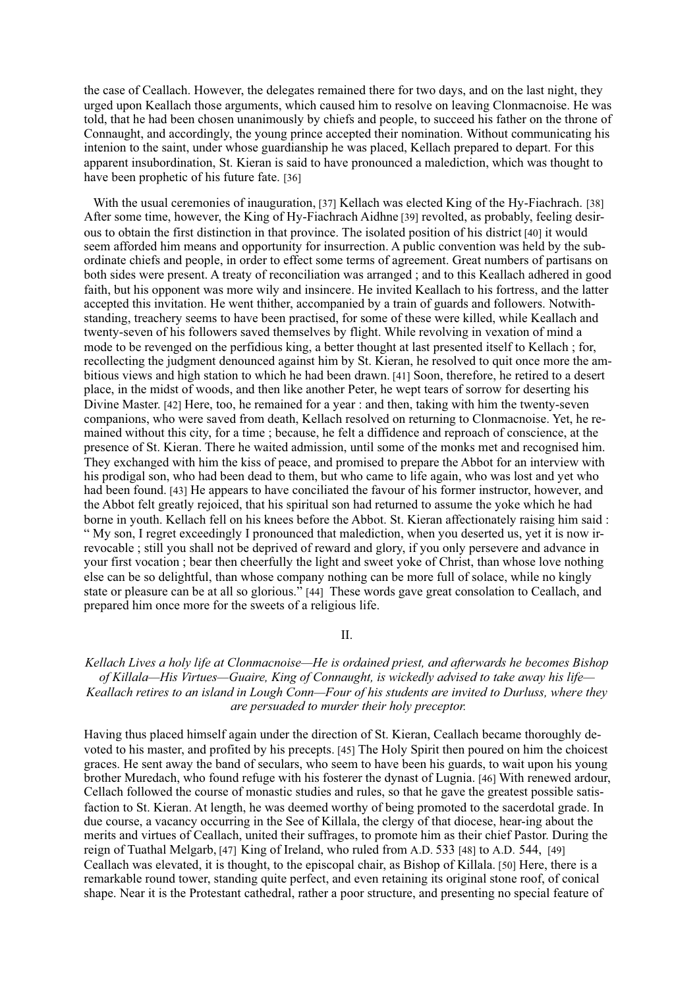the case of Ceallach. However, the delegates remained there for two days, and on the last night, they urged upon Keallach those arguments, which caused him to resolve on leaving Clonmacnoise. He was told, that he had been chosen unanimously by chiefs and people, to succeed his father on the throne of Connaught, and accordingly, the young prince accepted their nomination. Without communicating his intenion to the saint, under whose guardianship he was placed, Kellach prepared to depart. For this apparent insubordination, St. Kieran is said to have pronounced a malediction, which was thought to have been prophetic of his future fate. [36]

With the usual ceremonies of inauguration, [37] Kellach was elected King of the Hy-Fiachrach, [38] After some time, however, the King of Hy-Fiachrach Aidhne [39] revolted, as probably, feeling desirous to obtain the first distinction in that province. The isolated position of his district [40] it would seem afforded him means and opportunity for insurrection. A public convention was held by the subordinate chiefs and people, in order to effect some terms of agreement. Great numbers of partisans on both sides were present. A treaty of reconciliation was arranged; and to this Keallach adhered in good faith, but his opponent was more wily and insincere. He invited Keallach to his fortress, and the latter accepted this invitation. He went thither, accompanied by a train of guards and followers. Notwithstanding, treachery seems to have been practised, for some of these were killed, while Keallach and twenty-seven of his followers saved themselves by flight. While revolving in vexation of mind a mode to be revenged on the perfidious king, a better thought at last presented itself to Kellach; for, recollecting the judgment denounced against him by St. Kieran, he resolved to quit once more the ambitious views and high station to which he had been drawn. [41] Soon, therefore, he retired to a desert place, in the midst of woods, and then like another Peter, he wept tears of sorrow for deserting his Divine Master. [42] Here, too, he remained for a year : and then, taking with him the twenty-seven companions, who were saved from death. Kellach resolved on returning to Clonmacnoise. Yet, he remained without this city, for a time ; because, he felt a diffidence and reproach of conscience, at the presence of St. Kieran. There he waited admission, until some of the monks met and recognised him. They exchanged with him the kiss of peace, and promised to prepare the Abbot for an interview with his prodigal son, who had been dead to them, but who came to life again, who was lost and yet who had been found. [43] He appears to have conciliated the favour of his former instructor, however, and the Abbot felt greatly rejoiced, that his spiritual son had returned to assume the yoke which he had borne in youth. Kellach fell on his knees before the Abbot. St. Kieran affectionately raising him said: " My son, I regret exceedingly I pronounced that malediction, when you deserted us, yet it is now irrevocable; still you shall not be deprived of reward and glory, if you only persevere and advance in your first vocation; bear then cheerfully the light and sweet yoke of Christ, than whose love nothing else can be so delightful, than whose company nothing can be more full of solace, while no kingly state or pleasure can be at all so glorious." [44] These words gave great consolation to Ceallach, and prepared him once more for the sweets of a religious life.

 $II.$ 

# Kellach Lives a holy life at Clonmacnoise—He is ordained priest, and afterwards he becomes Bishop of Killala—His Virtues—Guaire. King of Connaught, is wickedly advised to take away his life— Keallach retires to an island in Lough Conn—Four of his students are invited to Durluss, where they are persuaded to murder their holy preceptor.

Having thus placed himself again under the direction of St. Kieran, Ceallach became thoroughly devoted to his master, and profited by his precepts. [45] The Holy Spirit then poured on him the choicest graces. He sent away the band of seculars, who seem to have been his guards, to wait upon his young brother Muredach, who found refuge with his fosterer the dynast of Lugnia. [46] With renewed ardour, Cellach followed the course of monastic studies and rules, so that he gave the greatest possible satisfaction to St. Kieran. At length, he was deemed worthy of being promoted to the sacerdotal grade. In due course, a vacancy occurring in the See of Killala, the clergy of that diocese, hear-ing about the merits and virtues of Ceallach, united their suffrages, to promote him as their chief Pastor. During the reign of Tuathal Melgarb, [47] King of Ireland, who ruled from A.D. 533 [48] to A.D. 544, [49] Ceallach was elevated, it is thought, to the episcopal chair, as Bishop of Killala. [50] Here, there is a remarkable round tower, standing quite perfect, and even retaining its original stone roof, of conical shape. Near it is the Protestant cathedral, rather a poor structure, and presenting no special feature of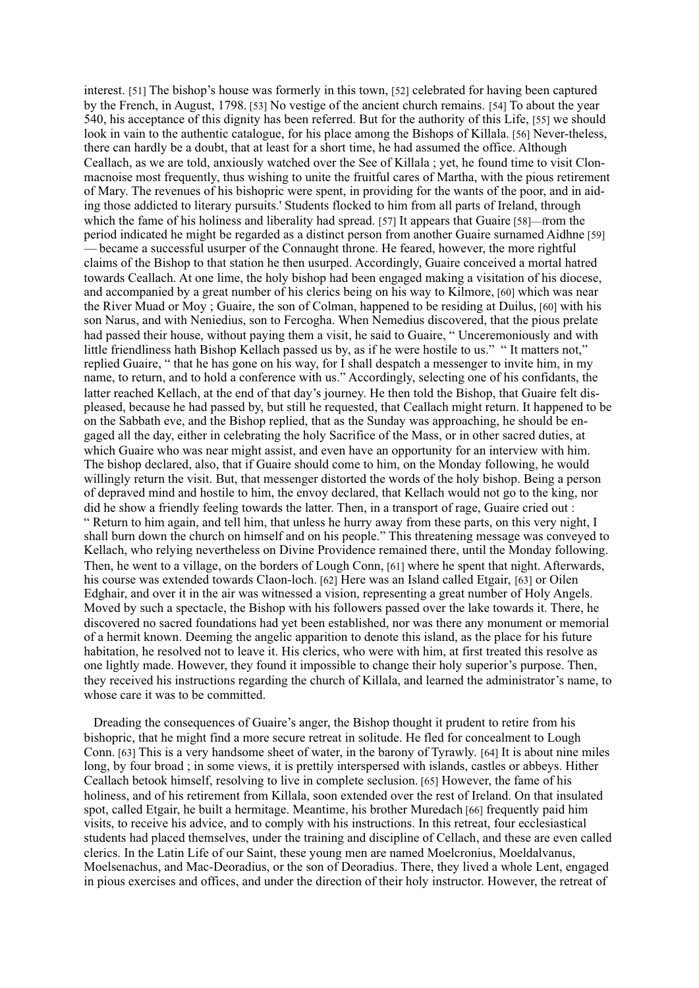interest. [51] The bishop's house was formerly in this town, [52] celebrated for having been captured by the French, in August, 1798, [53] No vestige of the ancient church remains. [54] To about the year 540, his acceptance of this dignity has been referred. But for the authority of this Life, [55] we should look in vain to the authentic catalogue, for his place among the Bishops of Killala. [56] Never-theless, there can hardly be a doubt, that at least for a short time, he had assumed the office. Although Ceallach, as we are told, anxiously watched over the See of Killala; yet, he found time to visit Clonmacnoise most frequently, thus wishing to unite the fruitful cares of Martha, with the pious retirement of Mary. The revenues of his bishopric were spent, in providing for the wants of the poor, and in aiding those addicted to literary pursuits.' Students flocked to him from all parts of Ireland, through which the fame of his holiness and liberality had spread. [57] It appears that Guaire [58]—from the period indicated he might be regarded as a distinct person from another Guaire surnamed Aidhne [59] became a successful usurper of the Connaught throne. He feared, however, the more rightful claims of the Bishop to that station he then usurped. Accordingly, Guaire conceived a mortal hatred towards Ceallach. At one lime, the holy bishop had been engaged making a visitation of his diocese, and accompanied by a great number of his clerics being on his way to Kilmore, [60] which was near the River Muad or Mov: Guaire, the son of Colman, happened to be residing at Duilus, [60] with his son Narus, and with Neniedius, son to Fercogha. When Nemedius discovered, that the pious prelate had passed their house, without paying them a visit, he said to Guaire, "Unceremoniously and with little friendliness hath Bishop Kellach passed us by, as if he were hostile to us." "It matters not," replied Guaire, "that he has gone on his way, for I shall despatch a messenger to invite him, in my name, to return, and to hold a conference with us." Accordingly, selecting one of his confidants, the latter reached Kellach, at the end of that day's journey. He then told the Bishop, that Guaire felt displeased, because he had passed by, but still he requested, that Ceallach might return. It happened to be on the Sabbath eve, and the Bishop replied, that as the Sunday was approaching, he should be engaged all the day, either in celebrating the holy Sacrifice of the Mass, or in other sacred duties, at which Guaire who was near might assist, and even have an opportunity for an interview with him. The bishop declared, also, that if Guaire should come to him, on the Monday following, he would willingly return the visit. But, that messenger distorted the words of the holy bishop. Being a person of deprayed mind and hostile to him, the envoy declared, that Kellach would not go to the king, nor did he show a friendly feeling towards the latter. Then, in a transport of rage, Guaire cried out : "Return to him again, and tell him, that unless he hurry away from these parts, on this very night, I shall burn down the church on himself and on his people." This threatening message was conveyed to Kellach, who relying nevertheless on Divine Providence remained there, until the Monday following. Then, he went to a village, on the borders of Lough Conn, [61] where he spent that night. Afterwards, his course was extended towards Claon-loch. [62] Here was an Island called Etgair, [63] or Oilen Edghair, and over it in the air was witnessed a vision, representing a great number of Holy Angels. Moved by such a spectacle, the Bishop with his followers passed over the lake towards it. There, he discovered no sacred foundations had yet been established, nor was there any monument or memorial of a hermit known. Deeming the angelic apparition to denote this island, as the place for his future habitation, he resolved not to leave it. His clerics, who were with him, at first treated this resolve as one lightly made. However, they found it impossible to change their holy superior's purpose. Then, they received his instructions regarding the church of Killala, and learned the administrator's name, to whose care it was to be committed.

Dreading the consequences of Guaire's anger, the Bishop thought it prudent to retire from his bishopric, that he might find a more secure retreat in solitude. He fled for concealment to Lough Conn. [63] This is a very handsome sheet of water, in the barony of Tyrawly. [64] It is about nine miles long, by four broad; in some views, it is prettily interspersed with islands, castles or abbeys. Hither Ceallach betook himself, resolving to live in complete seclusion. [65] However, the fame of his holiness, and of his retirement from Killala, soon extended over the rest of Ireland. On that insulated spot, called Etgair, he built a hermitage. Meantime, his brother Muredach [66] frequently paid him visits, to receive his advice, and to comply with his instructions. In this retreat, four ecclesiastical students had placed themselves, under the training and discipline of Cellach, and these are even called clerics. In the Latin Life of our Saint, these young men are named Moelcronius, Moeldalyanus. Moelsenachus, and Mac-Deoradius, or the son of Deoradius. There, they lived a whole Lent, engaged in pious exercises and offices, and under the direction of their holy instructor. However, the retreat of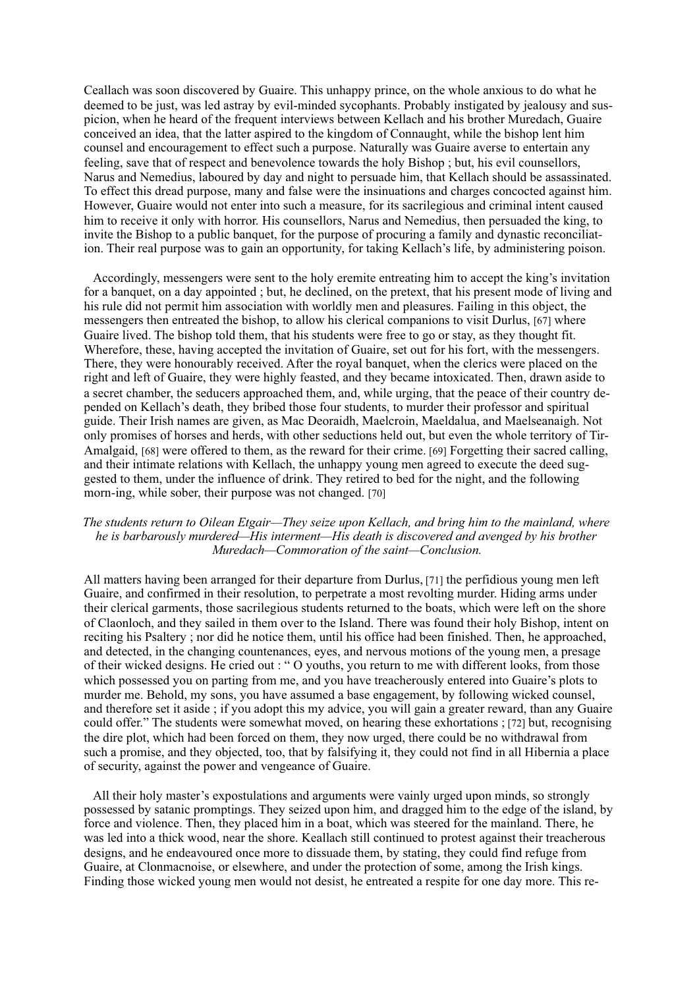Ceallach was soon discovered by Guaire. This unhappy prince, on the whole anxious to do what he deemed to be just, was led astray by evil-minded sycophants. Probably instigated by jealousy and suspicion, when he heard of the frequent interviews between Kellach and his brother Muredach, Guaire conceived an idea, that the latter aspired to the kingdom of Connaught, while the bishop lent him counsel and encouragement to effect such a purpose. Naturally was Guaire averse to entertain any feeling, save that of respect and benevolence towards the holy Bishop : but, his evil counsellors. Narus and Nemedius, laboured by day and night to persuade him, that Kellach should be assassinated. To effect this dread purpose, many and false were the insinuations and charges concocted against him. However, Guaire would not enter into such a measure, for its sacrilegious and criminal intent caused him to receive it only with horror. His counsellors, Narus and Nemedius, then persuaded the king, to invite the Bishop to a public banquet, for the purpose of procuring a family and dynastic reconciliation. Their real purpose was to gain an opportunity, for taking Kellach's life, by administering poison.

Accordingly, messengers were sent to the holy eremite entreating him to accept the king's invitation for a banquet, on a day appointed; but, he declined, on the pretext, that his present mode of living and his rule did not permit him association with worldly men and pleasures. Failing in this object, the messengers then entreated the bishop, to allow his clerical companions to visit Durlus, [67] where Guaire lived. The bishop told them, that his students were free to go or stay, as they thought fit. Wherefore, these, having accepted the invitation of Guaire, set out for his fort, with the messengers. There, they were honourably received. After the royal banquet, when the clerics were placed on the right and left of Guaire, they were highly feasted, and they became intoxicated. Then, drawn aside to a secret chamber, the seducers approached them, and, while urging, that the peace of their country depended on Kellach's death, they bribed those four students, to murder their professor and spiritual guide. Their Irish names are given, as Mac Deoraidh, Maelcroin, Maeldalua, and Maelseanaigh. Not only promises of horses and herds, with other seductions held out, but even the whole territory of Tir-Amalgaid, [68] were offered to them, as the reward for their crime. [69] Forgetting their sacred calling, and their intimate relations with Kellach, the unhappy young men agreed to execute the deed suggested to them, under the influence of drink. They retired to bed for the night, and the following morn-ing, while sober, their purpose was not changed. [70]

## The students return to Oilean Etgair—They seize upon Kellach, and bring him to the mainland, where he is barbarously murdered—His interment—His death is discovered and avenged by his brother Muredach—Commoration of the saint—Conclusion.

All matters having been arranged for their departure from Durlus, [71] the perfidious young men left Guaire, and confirmed in their resolution, to perpetrate a most revolting murder. Hiding arms under their clerical garments, those sacrilegious students returned to the boats, which were left on the shore of Claonloch, and they sailed in them over to the Island. There was found their holy Bishop, intent on reciting his Psaltery; nor did he notice them, until his office had been finished. Then, he approached, and detected, in the changing countenances, eyes, and nervous motions of the young men, a presage of their wicked designs. He cried out : " O youths, you return to me with different looks, from those which possessed you on parting from me, and you have treacherously entered into Guaire's plots to murder me. Behold, my sons, you have assumed a base engagement, by following wicked counsel. and therefore set it aside : if you adopt this my advice, you will gain a greater reward, than any Guaire could offer." The students were somewhat moved, on hearing these exhortations; [72] but, recognising the dire plot, which had been forced on them, they now urged, there could be no withdrawal from such a promise, and they objected, too, that by falsifying it, they could not find in all Hibernia a place of security, against the power and vengeance of Guaire.

All their holy master's expostulations and arguments were vainly urged upon minds, so strongly possessed by satanic promptings. They seized upon him, and dragged him to the edge of the island, by force and violence. Then, they placed him in a boat, which was steered for the mainland. There, he was led into a thick wood, near the shore. Keallach still continued to protest against their treacherous designs, and he endeavoured once more to dissuade them, by stating, they could find refuge from Guaire, at Clonmacnoise, or elsewhere, and under the protection of some, among the Irish kings. Finding those wicked young men would not desist, he entreated a respite for one day more. This re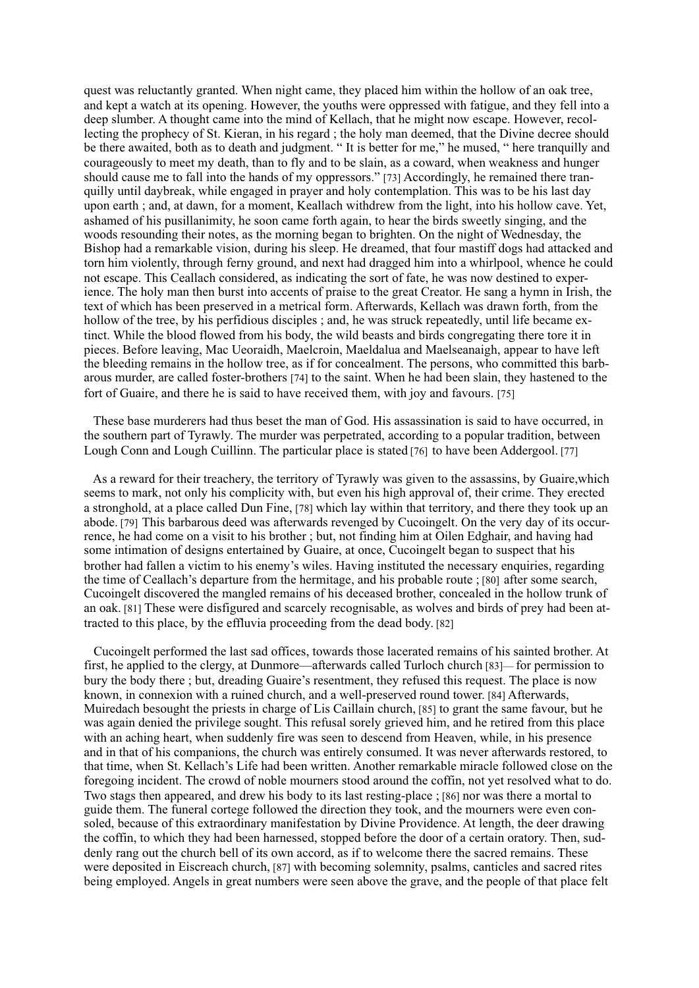quest was reluctantly granted. When night came, they placed him within the hollow of an oak tree, and kept a watch at its opening. However, the vouths were oppressed with fatigue, and they fell into a deep slumber. A thought came into the mind of Kellach, that he might now escape. However, recollecting the prophecy of St. Kieran, in his regard; the holy man deemed, that the Divine decree should be there awaited, both as to death and judgment. "It is better for me," he mused, " here tranquilly and courageously to meet my death, than to fly and to be slain, as a coward, when weakness and hunger should cause me to fall into the hands of my oppressors." [73] Accordingly, he remained there tranquilly until daybreak, while engaged in prayer and holy contemplation. This was to be his last day upon earth; and, at dawn, for a moment, Keallach withdrew from the light, into his hollow cave. Yet, ashamed of his pusillanimity, he soon came forth again, to hear the birds sweetly singing, and the woods resounding their notes, as the morning began to brighten. On the night of Wednesday, the Bishop had a remarkable vision, during his sleep. He dreamed, that four mastiff dogs had attacked and torn him violently, through ferny ground, and next had dragged him into a whirlpool, whence he could not escape. This Ceallach considered, as indicating the sort of fate, he was now destined to experience. The holy man then burst into accents of praise to the great Creator. He sang a hymn in Irish, the text of which has been preserved in a metrical form. Afterwards, Kellach was drawn forth, from the hollow of the tree, by his perfidious disciples; and, he was struck repeatedly, until life became extinct. While the blood flowed from his body, the wild beasts and birds congregating there tore it in pieces. Before leaving, Mac Ueoraidh, Maelcroin, Maeldalua and Maelseanaigh, appear to have left the bleeding remains in the hollow tree, as if for concealment. The persons, who committed this barbarous murder, are called foster-brothers [74] to the saint. When he had been slain, they hastened to the fort of Guaire, and there he is said to have received them, with joy and favours. [75]

These base murderers had thus beset the man of God. His assassination is said to have occurred, in the southern part of Tyrawly. The murder was perpetrated, according to a popular tradition, between Lough Conn and Lough Cuillinn. The particular place is stated [76] to have been Addergool. [77]

As a reward for their treachery, the territory of Tyrawly was given to the assassins, by Guaire, which seems to mark, not only his complicity with, but even his high approval of, their crime. They erected a stronghold, at a place called Dun Fine, [78] which lay within that territory, and there they took up an abode. [79] This barbarous deed was afterwards revenged by Cucoingelt. On the very day of its occurrence, he had come on a visit to his brother ; but, not finding him at Oilen Edghair, and having had some intimation of designs entertained by Guaire, at once. Cucoingelt began to suspect that his brother had fallen a victim to his enemy's wiles. Having instituted the necessary enquiries, regarding the time of Ceallach's departure from the hermitage, and his probable route ; [80] after some search, Cucoingelt discovered the mangled remains of his deceased brother, concealed in the hollow trunk of an oak. [81] These were disfigured and scarcely recognisable, as wolves and birds of prey had been attracted to this place, by the effluvia proceeding from the dead body. [82]

Cucoingelt performed the last sad offices, towards those lacerated remains of his sainted brother. At first, he applied to the clergy, at Dunmore—afterwards called Turloch church [83]—for permission to bury the body there : but, dreading Guaire's resentment, they refused this request. The place is now known, in connexion with a ruined church, and a well-preserved round tower. [84] Afterwards, Muiredach besought the priests in charge of Lis Caillain church. [85] to grant the same favour, but he was again denied the privilege sought. This refusal sorely grieved him, and he retired from this place with an aching heart, when suddenly fire was seen to descend from Heaven, while, in his presence and in that of his companions, the church was entirely consumed. It was never afterwards restored, to that time, when St. Kellach's Life had been written. Another remarkable miracle followed close on the foregoing incident. The crowd of noble mourners stood around the coffin, not yet resolved what to do. Two stags then appeared, and drew his body to its last resting-place ; [86] nor was there a mortal to guide them. The funeral cortege followed the direction they took, and the mourners were even consoled, because of this extraordinary manifestation by Divine Providence. At length, the deer drawing the coffin, to which they had been harnessed, stopped before the door of a certain oratory. Then, suddenly rang out the church bell of its own accord, as if to welcome there the sacred remains. These were deposited in Eiscreach church, [87] with becoming solemnity, psalms, canticles and sacred rites being employed. Angels in great numbers were seen above the grave, and the people of that place felt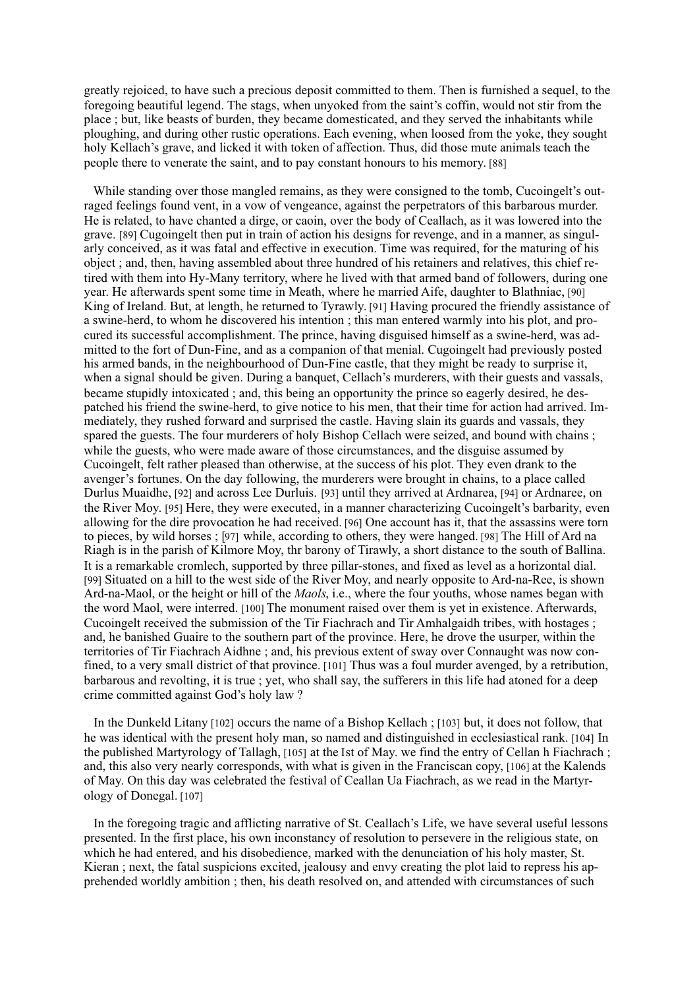greatly rejoiced, to have such a precious deposit committed to them. Then is furnished a sequel, to the foregoing beautiful legend. The stags, when unvoked from the saint's coffin, would not stir from the place ; but, like beasts of burden, they became domesticated, and they served the inhabitants while ploughing, and during other rustic operations. Each evening, when loosed from the yoke, they sought holy Kellach's grave, and licked it with token of affection. Thus, did those mute animals teach the people there to venerate the saint, and to pay constant honours to his memory. [88]

While standing over those mangled remains, as they were consigned to the tomb, Cucoingelt's outraged feelings found vent, in a vow of vengeance, against the perpetrators of this barbarous murder. He is related, to have chanted a dirge, or caoin, over the body of Ceallach, as it was lowered into the grave, [89] Cugoingelt then put in train of action his designs for revenge, and in a manner, as singularly conceived, as it was fatal and effective in execution. Time was required, for the maturing of his object; and, then, having assembled about three hundred of his retainers and relatives, this chief retired with them into Hy-Many territory, where he lived with that armed band of followers, during one year. He afterwards spent some time in Meath, where he married Aife, daughter to Blathniac, [90] King of Ireland. But, at length, he returned to Tyrawly. [91] Having procured the friendly assistance of a swine-herd, to whom he discovered his intention; this man entered warmly into his plot, and procured its successful accomplishment. The prince, having disguised himself as a swine-herd, was admitted to the fort of Dun-Fine, and as a companion of that menial. Cugoingelt had previously posted his armed bands, in the neighbourhood of Dun-Fine castle, that they might be ready to surprise it, when a signal should be given. During a banquet, Cellach's murderers, with their guests and vassals, became stupidly intoxicated; and, this being an opportunity the prince so eagerly desired, he despatched his friend the swine-herd, to give notice to his men, that their time for action had arrived. Immediately, they rushed forward and surprised the castle. Having slain its guards and vassals, they spared the guests. The four murderers of holy Bishop Cellach were seized, and bound with chains; while the guests, who were made aware of those circumstances, and the disguise assumed by Cucoingelt, felt rather pleased than otherwise, at the success of his plot. They even drank to the avenger's fortunes. On the day following, the murderers were brought in chains, to a place called Durlus Muaidhe, [92] and across Lee Durluis. [93] until they arrived at Ardnarea, [94] or Ardnaree, on the River Moy. [95] Here, they were executed, in a manner characterizing Cucoingelt's barbarity, even allowing for the dire provocation he had received. [96] One account has it, that the assassins were torn to pieces, by wild horses: [97] while, according to others, they were hanged. [98] The Hill of Ard na Riagh is in the parish of Kilmore Mov, thr barony of Tirawly, a short distance to the south of Ballina. It is a remarkable cromlech, supported by three pillar-stones, and fixed as level as a horizontal dial. [99] Situated on a hill to the west side of the River Moy, and nearly opposite to Ard-na-Ree, is shown Ard-na-Maol, or the height or hill of the *Maols*, i.e., where the four youths, whose names began with the word Maol, were interred. [100] The monument raised over them is yet in existence. Afterwards, Cucoingelt received the submission of the Tir Fiachrach and Tir Amhalgaidh tribes, with hostages ; and, he banished Guaire to the southern part of the province. Here, he drove the usurper, within the territories of Tir Fiachrach Aidhne; and, his previous extent of sway over Connaught was now confined, to a very small district of that province. [101] Thus was a foul murder avenged, by a retribution, barbarous and revolting, it is true ; yet, who shall say, the sufferers in this life had atoned for a deep crime committed against God's holy law?

In the Dunkeld Litany [102] occurs the name of a Bishop Kellach; [103] but, it does not follow, that he was identical with the present holy man, so named and distinguished in ecclesiastical rank. [104] In the published Martyrology of Tallagh, [105] at the Ist of May, we find the entry of Cellan h Fiachrach; and, this also very nearly corresponds, with what is given in the Franciscan copy, [106] at the Kalends of May. On this day was celebrated the festival of Ceallan Ua Fiachrach, as we read in the Martyrology of Donegal. [107]

In the foregoing tragic and afflicting narrative of St. Ceallach's Life, we have several useful lessons presented. In the first place, his own inconstancy of resolution to persevere in the religious state, on which he had entered, and his disobedience, marked with the denunciation of his holy master. St. Kieran : next, the fatal suspicions excited, jealousy and envy creating the plot laid to repress his apprehended worldly ambition : then, his death resolved on, and attended with circumstances of such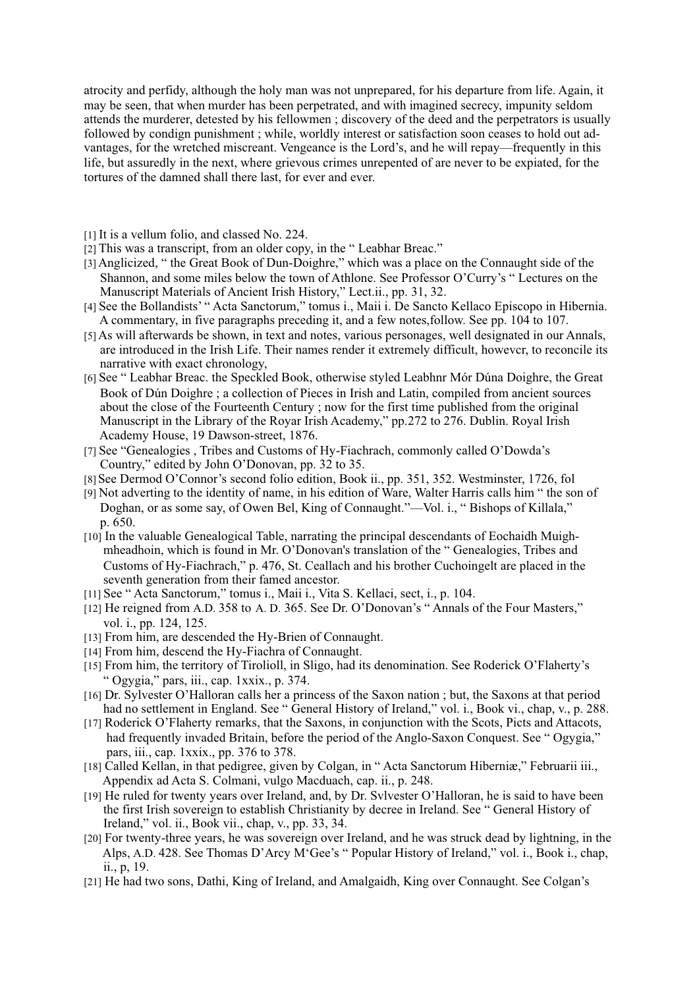atrocity and perfidy, although the holy man was not unprepared, for his departure from life. Again, it may be seen, that when murder has been perpetrated, and with imagined secrecy, impunity seldom attends the murderer, detested by his fellowmen; discovery of the deed and the perpetrators is usually followed by condign punishment; while, worldly interest or satisfaction soon ceases to hold out advantages, for the wretched miscreant. Vengeance is the Lord's, and he will repay—frequently in this life, but assuredly in the next, where grievous crimes unrepented of are never to be expiated, for the tortures of the damned shall there last, for ever and ever.

[1] It is a vellum folio, and classed No. 224.

- [2] This was a transcript, from an older copy, in the "Leabhar Breac."
- [3] Anglicized, "the Great Book of Dun-Doighre," which was a place on the Connaught side of the Shannon, and some miles below the town of Athlone. See Professor O'Curry's "Lectures on the Manuscript Materials of Ancient Irish History," Lect.ii., pp. 31, 32.
- [4] See the Bollandists' "Acta Sanctorum," tomus i., Maii i. De Sancto Kellaco Episcopo in Hibernia. A commentary, in five paragraphs preceding it, and a few notes, follow. See pp. 104 to 107.
- [5] As will afterwards be shown, in text and notes, various personages, well designated in our Annals, are introduced in the Irish Life. Their names render it extremely difficult, however, to reconcile its narrative with exact chronology,
- [6] See "Leabhar Breac. the Speckled Book, otherwise styled Leabhnr Mór Dúna Doighre, the Great Book of Dún Doighre; a collection of Pieces in Irish and Latin, compiled from ancient sources about the close of the Fourteenth Century; now for the first time published from the original Manuscript in the Library of the Royar Irish Academy," pp.272 to 276. Dublin. Royal Irish Academy House, 19 Dawson-street, 1876.
- [7] See "Genealogies, Tribes and Customs of Hy-Fiachrach, commonly called O'Dowda's Country," edited by John O'Donovan, pp. 32 to 35.
- [8] See Dermod O'Connor's second folio edition, Book ii., pp. 351, 352. Westminster, 1726, fol
- [9] Not adverting to the identity of name, in his edition of Ware, Walter Harris calls him " the son of Doghan, or as some say, of Owen Bel, King of Connaught."—Vol. i., "Bishops of Killala," p. 650.
- [10] In the valuable Genealogical Table, narrating the principal descendants of Eochaidh Muighmheadhoin, which is found in Mr. O'Donovan's translation of the "Genealogies, Tribes and Customs of Hy-Fiachrach," p. 476, St. Ceallach and his brother Cuchoingelt are placed in the seventh generation from their famed ancestor.
- [11] See "Acta Sanctorum," tomus i., Maii i., Vita S. Kellaci, sect, i., p. 104.
- [12] He reigned from A.D. 358 to A.D. 365. See Dr. O'Donovan's "Annals of the Four Masters," vol. i., pp. 124, 125.
- [13] From him, are descended the Hy-Brien of Connaught.
- [14] From him, descend the Hy-Fiachra of Connaught.
- [15] From him, the territory of Tirolioll, in Sligo, had its denomination. See Roderick O'Flaherty's " Ogygia," pars, iii., cap. 1xxix., p. 374.
- [16] Dr. Sylvester O'Halloran calls her a princess of the Saxon nation : but, the Saxons at that period had no settlement in England. See "General History of Ireland." vol. i., Book vi., chap. v., p. 288.
- [17] Roderick O'Flaherty remarks, that the Saxons, in conjunction with the Scots, Picts and Attacots, had frequently invaded Britain, before the period of the Anglo-Saxon Conquest. See "Ogygia," pars, iii., cap. 1xxix., pp. 376 to 378.
- [18] Called Kellan, in that pedigree, given by Colgan, in "Acta Sanctorum Hiberniæ," Februarii iii., Appendix ad Acta S. Colmani, vulgo Macduach, cap. ii., p. 248.
- [19] He ruled for twenty years over Ireland, and, by Dr. Svlvester O'Halloran, he is said to have been the first Irish sovereign to establish Christianity by decree in Ireland. See "General History of Ireland," vol. ii., Book vii., chap, v., pp. 33, 34.
- [20] For twenty-three years, he was sovereign over Ireland, and he was struck dead by lightning, in the Alps. A.D. 428. See Thomas D'Arcy M'Gee's "Popular History of Ireland." vol. i., Book i., chap.  $\overline{\text{ii}}$ , p. 19.
- [21] He had two sons, Dathi, King of Ireland, and Amalgaidh, King over Connaught, See Colgan's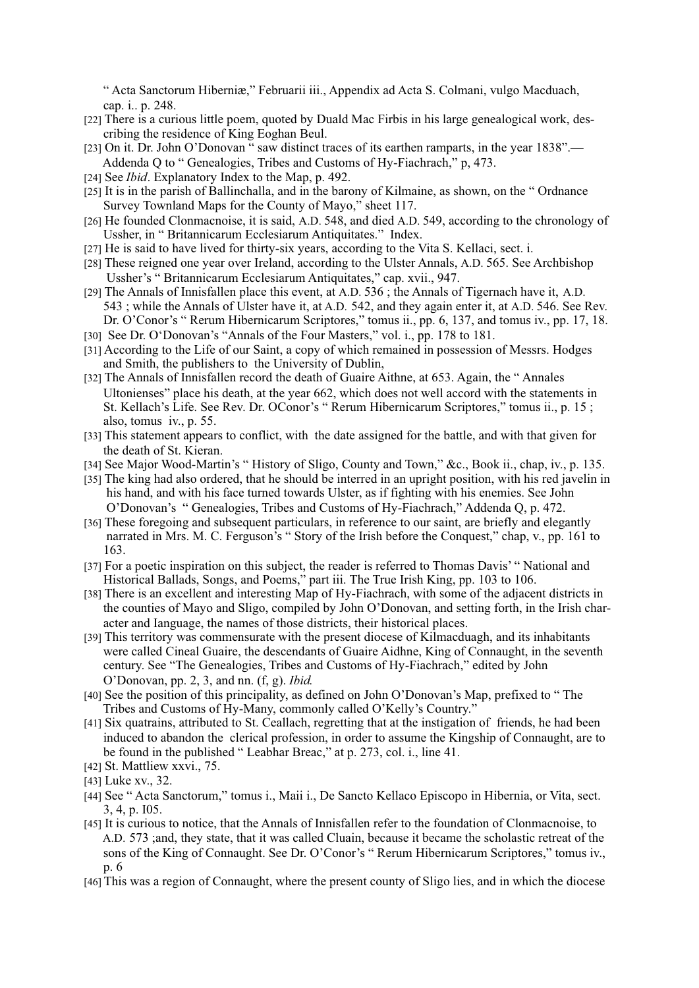"Acta Sanctorum Hiberniæ." Februarii iii., Appendix ad Acta S. Colmani, vulgo Macduach. cap. i.. p. 248.

- [22] There is a curious little poem, quoted by Duald Mac Firbis in his large genealogical work, describing the residence of King Eoghan Beul.
- [23] On it. Dr. John O'Donovan " saw distinct traces of its earthen ramparts, in the year 1838".— Addenda Q to "Genealogies, Tribes and Customs of Hy-Fiachrach," p, 473.
- [24] See *Ibid*. Explanatory Index to the Map, p. 492.
- [25] It is in the parish of Ballinchalla, and in the barony of Kilmaine, as shown, on the "Ordnance Survey Townland Maps for the County of Mayo," sheet 117.
- [26] He founded Clonmacnoise, it is said, A.D. 548, and died A.D. 549, according to the chronology of Ussher, in "Britannicarum Ecclesiarum Antiquitates." Index.
- [27] He is said to have lived for thirty-six years, according to the Vita S. Kellaci, sect. i.
- [28] These reigned one year over Ireland, according to the Ulster Annals, A.D. 565. See Archbishop Ussher's "Britannicarum Ecclesiarum Antiquitates," cap. xvii., 947.
- [29] The Annals of Innisfallen place this event, at A.D. 536; the Annals of Tigernach have it, A.D. 543; while the Annals of Ulster have it, at A.D. 542, and they again enter it, at A.D. 546. See Rev. Dr. O'Conor's "Rerum Hibernicarum Scriptores," tomus ii., pp. 6, 137, and tomus iv., pp. 17, 18.
- [30] See Dr. O'Donovan's "Annals of the Four Masters," vol. i., pp. 178 to 181.
- [31] According to the Life of our Saint, a copy of which remained in possession of Messrs. Hodges and Smith, the publishers to the University of Dublin,
- [32] The Annals of Innisfallen record the death of Guaire Aithne, at 653. Again, the "Annales" Ultonienses" place his death, at the year 662, which does not well accord with the statements in St. Kellach's Life. See Rev. Dr. OConor's "Rerum Hibernicarum Scriptores," tomus ii., p. 15; also, tomus iv.,  $p. 55$ .
- [33] This statement appears to conflict, with the date assigned for the battle, and with that given for the death of St. Kieran.
- [34] See Major Wood-Martin's "History of Sligo, County and Town," &c., Book ii., chap, iv., p. 135.
- [35] The king had also ordered, that he should be interred in an upright position, with his red javelin in his hand, and with his face turned towards Ulster, as if fighting with his enemies. See John O'Donovan's "Genealogies, Tribes and Customs of Hy-Fiachrach," Addenda O, p. 472.
- [36] These foregoing and subsequent particulars, in reference to our saint, are briefly and elegantly narrated in Mrs. M. C. Ferguson's "Story of the Irish before the Conquest." chap. v., pp. 161 to 163.
- [37] For a poetic inspiration on this subject, the reader is referred to Thomas Davis' "National and Historical Ballads, Songs, and Poems," part iii. The True Irish King, pp. 103 to 106.
- [38] There is an excellent and interesting Map of Hy-Fiachrach, with some of the adjacent districts in the counties of Mayo and Sligo, compiled by John O'Donovan, and setting forth, in the Irish character and Ianguage, the names of those districts, their historical places.
- [39] This territory was commensurate with the present diocese of Kilmacduagh, and its inhabitants were called Cineal Guaire, the descendants of Guaire Aidhne, King of Connaught, in the seventh century. See "The Genealogies, Tribes and Customs of Hy-Fiachrach," edited by John O'Donovan, pp. 2, 3, and nn,  $(f, g)$ . *Ibid.*
- [40] See the position of this principality, as defined on John O'Donovan's Map, prefixed to "The Tribes and Customs of Hy-Many, commonly called O'Kelly's Country."
- [41] Six quatrains, attributed to St. Ceallach, regretting that at the instigation of friends, he had been induced to abandon the clerical profession, in order to assume the Kingship of Connaught, are to be found in the published "Leabhar Breac," at p. 273, col. i., line 41.
- [42] St. Mattliew xxvi., 75.
- [43] Luke xv., 32.
- [44] See "Acta Sanctorum," tomus i., Maii i., De Sancto Kellaco Episcopo in Hibernia, or Vita, sect. 3, 4, p. I05.
- [45] It is curious to notice, that the Annals of Innisfallen refer to the foundation of Clonmacnoise, to A.D. 573 ;and, they state, that it was called Cluain, because it became the scholastic retreat of the sons of the King of Connaught. See Dr. O'Conor's "Rerum Hibernicarum Scriptores." tomus iv..  $p.6$
- [46] This was a region of Connaught, where the present county of Sligo lies, and in which the diocese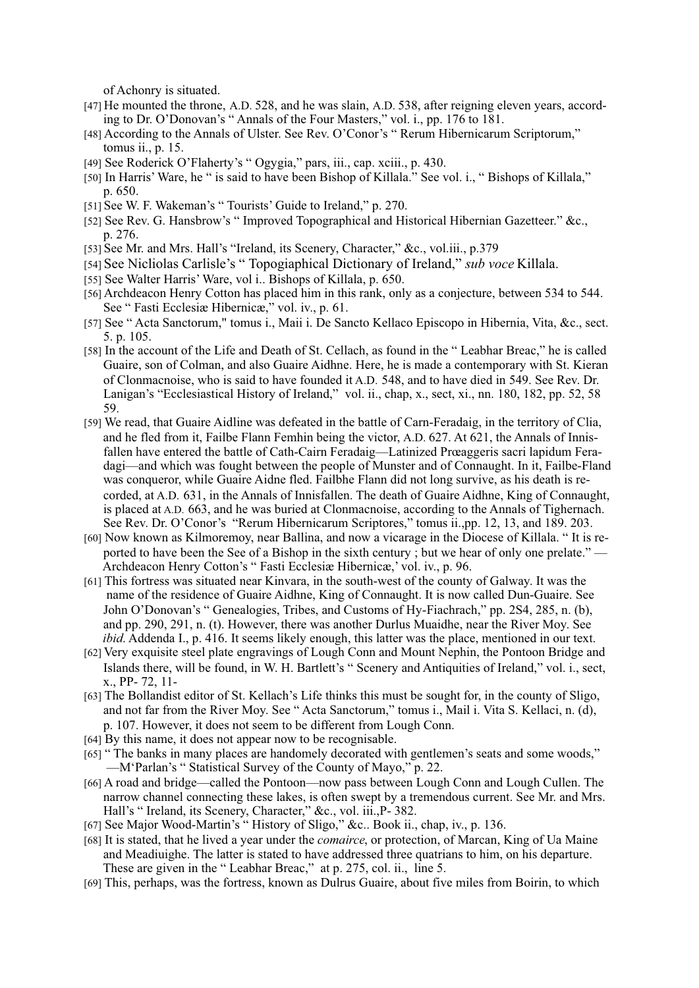of Achonry is situated.

- [47] He mounted the throne, A.D. 528, and he was slain, A.D. 538, after reigning eleven years, according to Dr. O'Donovan's "Annals of the Four Masters," vol. i., pp. 176 to 181.
- [48] According to the Annals of Ulster. See Rev. O'Conor's "Rerum Hibernicarum Scriptorum," tomus ii., p. 15.
- [49] See Roderick O'Flaherty's "Ogygia," pars, iii., cap. xciii., p. 430.
- [50] In Harris' Ware, he " is said to have been Bishop of Killala." See vol. i., " Bishops of Killala," p. 650.
- [51] See W. F. Wakeman's "Tourists' Guide to Ireland," p. 270.
- [52] See Rev. G. Hansbrow's "Improved Topographical and Historical Hibernian Gazetteer." &c., p. 276.
- [53] See Mr. and Mrs. Hall's "Ireland, its Scenery, Character," &c., vol.iii., p.379
- [54] See Nicliolas Carlisle's "Topogiaphical Dictionary of Ireland," sub voce Killala.
- [55] See Walter Harris' Ware, vol i., Bishops of Killala, p. 650.
- [56] Archdeacon Henry Cotton has placed him in this rank, only as a conjecture, between 534 to 544. See "Fasti Ecclesiae Hibernicae," vol. iv., p. 61.
- [57] See "Acta Sanctorum," tomus i., Maii i. De Sancto Kellaco Episcopo in Hibernia, Vita, &c., sect. 5. p. 105.
- [58] In the account of the Life and Death of St. Cellach, as found in the "Leabhar Breac," he is called Guaire, son of Colman, and also Guaire Aidhne. Here, he is made a contemporary with St. Kieran of Clonmacnoise, who is said to have founded it A.D. 548, and to have died in 549. See Rev. Dr. Lanigan's "Ecclesiastical History of Ireland," vol. ii., chap, x., sect, xi., nn. 180, 182, pp. 52, 58 59.
- [59] We read, that Guaire Aidline was defeated in the battle of Carn-Feradaig, in the territory of Clia, and he fled from it, Failbe Flann Femhin being the victor, A.D. 627. At 621, the Annals of Innisfallen have entered the battle of Cath-Cairn Feradaig—Latinized Proaggeris sacri lapidum Feradagi—and which was fought between the people of Munster and of Connaught. In it, Failbe-Fland was conqueror, while Guaire Aidne fled. Failbhe Flann did not long survive, as his death is recorded, at A.D. 631, in the Annals of Innisfallen. The death of Guaire Aidhne, King of Connaught, is placed at A.D. 663, and he was buried at Clonmacnoise, according to the Annals of Tighernach. See Rev. Dr. O'Conor's "Rerum Hibernicarum Scriptores," tomus ii., pp. 12, 13, and 189. 203.
- [60] Now known as Kilmoremoy, near Ballina, and now a vicarage in the Diocese of Killala. "It is reported to have been the See of a Bishop in the sixth century; but we hear of only one prelate." — Archdeacon Henry Cotton's "Fasti Ecclesiæ Hibernicæ,' vol. iv., p. 96.
- [61] This fortress was situated near Kinvara, in the south-west of the county of Galway. It was the name of the residence of Guaire Aidhne, King of Connaught. It is now called Dun-Guaire. See John O'Donovan's "Genealogies, Tribes, and Customs of Hy-Fiachrach," pp. 2S4, 285, n. (b), and pp. 290, 291, n. (t). However, there was another Durlus Muaidhe, near the River Mov. See *ibid*. Addenda I., p. 416. It seems likely enough, this latter was the place, mentioned in our text.
- [62] Very exquisite steel plate engravings of Lough Conn and Mount Nephin, the Pontoon Bridge and Islands there, will be found, in W. H. Bartlett's "Scenery and Antiquities of Ireland," vol. i., sect, x., PP-72, 11-
- [63] The Bollandist editor of St. Kellach's Life thinks this must be sought for, in the county of Sligo, and not far from the River Moy. See "Acta Sanctorum," tomus i., Mail i. Vita S. Kellaci, n. (d), p. 107. However, it does not seem to be different from Lough Conn.
- $[64]$  By this name, it does not appear now to be recognisable.
- [65] "The banks in many places are handomely decorated with gentlemen's seats and some woods," —M'Parlan's "Statistical Survey of the County of Mayo," p. 22.
- [66] A road and bridge—called the Pontoon—now pass between Lough Conn and Lough Cullen. The narrow channel connecting these lakes, is often swept by a tremendous current. See Mr. and Mrs. Hall's "Ireland, its Scenery, Character," &c., vol. iii., P- 382.
- [67] See Major Wood-Martin's "History of Sligo," &c.. Book ii., chap, iv., p. 136.
- [68] It is stated, that he lived a year under the *comairce*, or protection, of Marcan, King of Ua Maine and Meadiuighe. The latter is stated to have addressed three quatrians to him, on his departure. These are given in the "Leabhar Breac," at p. 275, col. ii., line 5.
- [69] This, perhaps, was the fortress, known as Dulrus Guaire, about five miles from Boirin, to which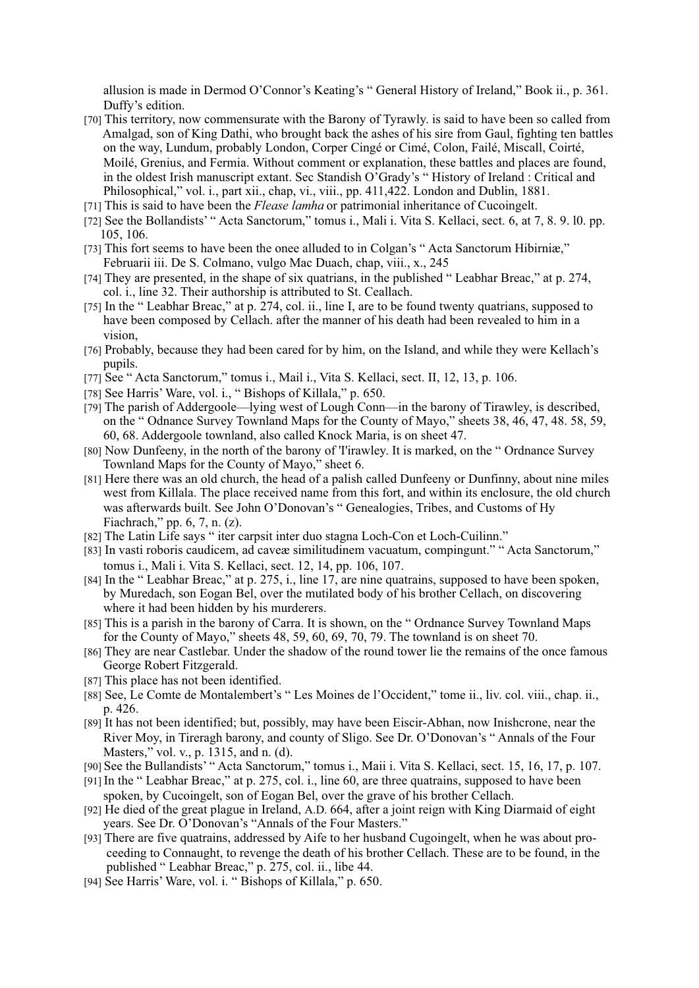allusion is made in Dermod O'Connor's Keating's "General History of Ireland," Book ii., p. 361. Duffy's edition.

- [70] This territory, now commensurate with the Barony of Tyrawly. is said to have been so called from Amalgad, son of King Dathi, who brought back the ashes of his sire from Gaul, fighting ten battles on the way, Lundum, probably London, Corper Cingé or Cimé, Colon, Failé, Miscall, Coirté, Moilé, Grenius, and Fermia. Without comment or explanation, these battles and places are found, in the oldest Irish manuscript extant. Sec Standish O'Grady's "History of Ireland : Critical and Philosophical," vol. i., part xii., chap, vi., viii., pp. 411,422. London and Dublin, 1881.
- [71] This is said to have been the Flease lamha or patrimonial inheritance of Cucoingelt.
- [72] See the Bollandists' "Acta Sanctorum," tomus i., Mali i. Vita S. Kellaci, sect. 6, at 7, 8, 9, 10, pp. 105.106.
- [73] This fort seems to have been the onee alluded to in Colgan's "Acta Sanctorum Hibirniæ," Februarii iii. De S. Colmano, vulgo Mac Duach, chap, viii., x., 245
- [74] They are presented, in the shape of six quatrians, in the published "Leabhar Breac," at p. 274, col. i., line 32. Their authorship is attributed to St. Ceallach.
- [75] In the "Leabhar Breac," at p. 274, col. ii., line I, are to be found twenty quatrians, supposed to have been composed by Cellach. after the manner of his death had been revealed to him in a vision.
- [76] Probably, because they had been cared for by him, on the Island, and while they were Kellach's pupils.
- [77] See "Acta Sanctorum," tomus i., Mail i., Vita S. Kellaci, sect. II, 12, 13, p. 106.
- [78] See Harris' Ware, vol. i., "Bishops of Killala," p. 650.
- [79] The parish of Addergoole—lying west of Lough Conn—in the barony of Tirawley, is described, on the "Odnance Survey Townland Maps for the County of Mayo," sheets 38, 46, 47, 48. 58, 59, 60, 68. Addergoole townland, also called Knock Maria, is on sheet 47.
- [80] Now Dunfeeny, in the north of the barony of 'I'irawley. It is marked, on the "Ordnance Survey" Townland Maps for the County of Mayo," sheet 6.
- [81] Here there was an old church, the head of a palish called Dunfeeny or Dunfinny, about nine miles west from Killala. The place received name from this fort, and within its enclosure, the old church was afterwards built. See John O'Donovan's "Genealogies, Tribes, and Customs of Hy Fiachrach," pp.  $6, 7, n$ .  $(z)$ .
- [82] The Latin Life says "iter carpsit inter duo stagna Loch-Con et Loch-Cuilinn."
- [83] In vasti roboris caudicem, ad cave a similitudinem vacuatum, compingunt." "Acta Sanctorum." tomus i., Mali i. Vita S. Kellaci, sect. 12, 14, pp. 106, 107.
- [84] In the "Leabhar Breac," at p. 275, i., line 17, are nine quatrains, supposed to have been spoken, by Muredach, son Eogan Bel, over the mutilated body of his brother Cellach, on discovering where it had been hidden by his murderers.
- [85] This is a parish in the barony of Carra. It is shown, on the "Ordnance Survey Townland Maps" for the County of Mayo," sheets 48, 59, 60, 69, 70, 79. The townland is on sheet 70.
- [86] They are near Castlebar. Under the shadow of the round tower lie the remains of the once famous George Robert Fitzgerald.
- [87] This place has not been identified.
- [88] See, Le Comte de Montalembert's "Les Moines de l'Occident," tome ii., liv. col. viii., chap. ii., p. 426.
- [89] It has not been identified; but, possibly, may have been Eiscir-Abhan, now Inishcrone, near the River Moy, in Tireragh barony, and county of Sligo. See Dr. O'Donovan's "Annals of the Four Masters," vol. v., p. 1315, and n. (d).
- [90] See the Bullandists' "Acta Sanctorum," tomus i., Maii i. Vita S. Kellaci, sect. 15, 16, 17, p. 107.
- [91] In the "Leabhar Breac," at p. 275, col. i., line 60, are three quatrains, supposed to have been spoken, by Cucoingelt, son of Eogan Bel, over the grave of his brother Cellach.
- [92] He died of the great plague in Ireland, A.D. 664, after a joint reign with King Diarmaid of eight years. See Dr. O'Donovan's "Annals of the Four Masters."
- [93] There are five quatrains, addressed by Aife to her husband Cugoingelt, when he was about proceeding to Connaught, to revenge the death of his brother Cellach. These are to be found, in the published "Leabhar Breac," p. 275, col. ii., libe 44.
- [94] See Harris' Ware, vol. i. "Bishops of Killala," p. 650.